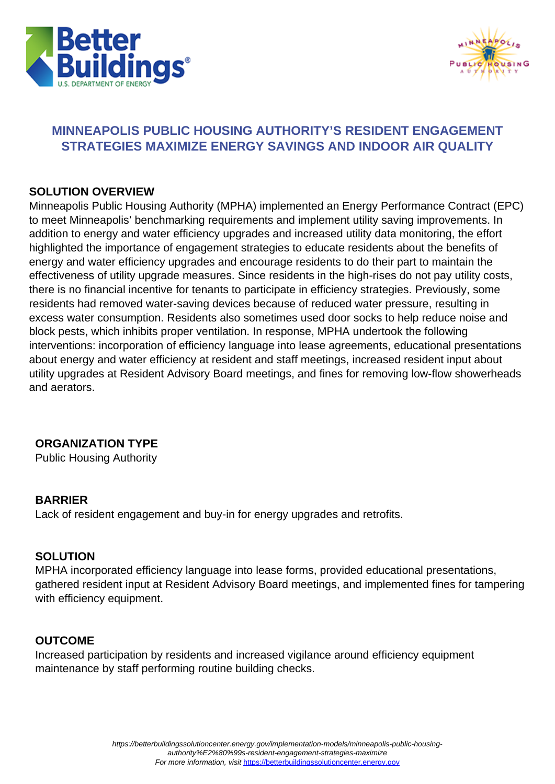



# **MINNEAPOLIS PUBLIC HOUSING AUTHORITY'S RESIDENT ENGAGEMENT STRATEGIES MAXIMIZE ENERGY SAVINGS AND INDOOR AIR QUALITY**

### **SOLUTION OVERVIEW**

Minneapolis Public Housing Authority (MPHA) implemented an Energy Performance Contract (EPC) to meet Minneapolis' benchmarking requirements and implement utility saving improvements. In addition to energy and water efficiency upgrades and increased utility data monitoring, the effort highlighted the importance of engagement strategies to educate residents about the benefits of energy and water efficiency upgrades and encourage residents to do their part to maintain the effectiveness of utility upgrade measures. Since residents in the high-rises do not pay utility costs, there is no financial incentive for tenants to participate in efficiency strategies. Previously, some residents had removed water-saving devices because of reduced water pressure, resulting in excess water consumption. Residents also sometimes used door socks to help reduce noise and block pests, which inhibits proper ventilation. In response, MPHA undertook the following interventions: incorporation of efficiency language into lease agreements, educational presentations about energy and water efficiency at resident and staff meetings, increased resident input about utility upgrades at Resident Advisory Board meetings, and fines for removing low-flow showerheads and aerators.

# **ORGANIZATION TYPE**

Public Housing Authority

### **BARRIER**

Lack of resident engagement and buy-in for energy upgrades and retrofits.

### **SOLUTION**

MPHA incorporated efficiency language into lease forms, provided educational presentations, gathered resident input at Resident Advisory Board meetings, and implemented fines for tampering with efficiency equipment.

#### **OUTCOME**

Increased participation by residents and increased vigilance around efficiency equipment maintenance by staff performing routine building checks.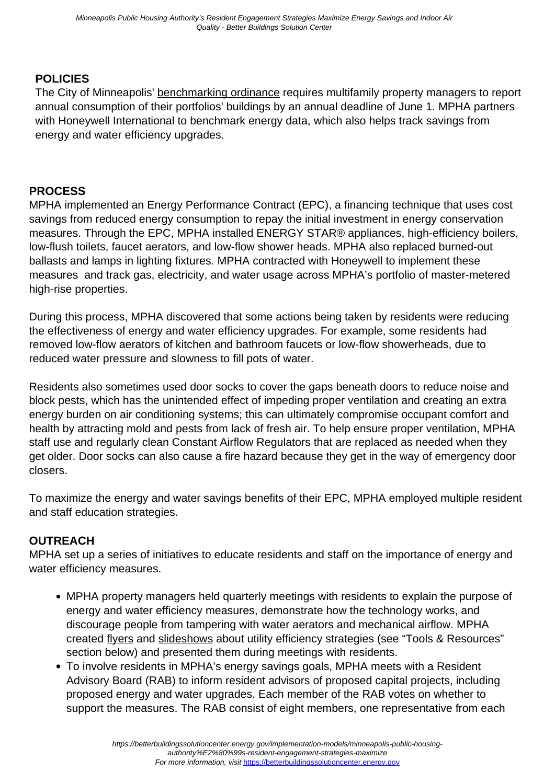# **POLICIES**

The City of Minneapolis' [benchmarking ordinance](https://www2.minneapolismn.gov/government/programs-initiatives/environmental-programs/energy/) requires multifamily property managers to report annual consumption of their portfolios' buildings by an annual deadline of June 1. MPHA partners with Honeywell International to benchmark energy data, which also helps track savings from energy and water efficiency upgrades.

### **PROCESS**

MPHA implemented an Energy Performance Contract (EPC), a financing technique that uses cost savings from reduced energy consumption to repay the initial investment in energy conservation measures. Through the EPC, MPHA installed ENERGY STAR® appliances, high-efficiency boilers, low-flush toilets, faucet aerators, and low-flow shower heads. MPHA also replaced burned-out ballasts and lamps in lighting fixtures. MPHA contracted with Honeywell to implement these measures and track gas, electricity, and water usage across MPHA's portfolio of master-metered high-rise properties.

During this process, MPHA discovered that some actions being taken by residents were reducing the effectiveness of energy and water efficiency upgrades. For example, some residents had removed low-flow aerators of kitchen and bathroom faucets or low-flow showerheads, due to reduced water pressure and slowness to fill pots of water.

Residents also sometimes used door socks to cover the gaps beneath doors to reduce noise and block pests, which has the unintended effect of impeding proper ventilation and creating an extra energy burden on air conditioning systems; this can ultimately compromise occupant comfort and health by attracting mold and pests from lack of fresh air. To help ensure proper ventilation, MPHA staff use and regularly clean Constant Airflow Regulators that are replaced as needed when they get older. Door socks can also cause a fire hazard because they get in the way of emergency door closers.

To maximize the energy and water savings benefits of their EPC, MPHA employed multiple resident and staff education strategies.

# **OUTREACH**

MPHA set up a series of initiatives to educate residents and staff on the importance of energy and water efficiency measures.

- MPHA property managers held quarterly meetings with residents to explain the purpose of energy and water efficiency measures, demonstrate how the technology works, and discourage people from tampering with water aerators and mechanical airflow. MPHA created [flyers](https://betterbuildingssolutioncenter.energy.gov/sites/default/files/tools/MPHA%20door%20sock%20flyer.pdf) and [slideshows](https://betterbuildingssolutioncenter.energy.gov/sites/default/files/tools/MPHA%20air%20flow%20training.pdf) about utility efficiency strategies (see "Tools & Resources" section below) and presented them during meetings with residents.
- To involve residents in MPHA's energy savings goals, MPHA meets with a Resident Advisory Board (RAB) to inform resident advisors of proposed capital projects, including proposed energy and water upgrades. Each member of the RAB votes on whether to support the measures. The RAB consist of eight members, one representative from each